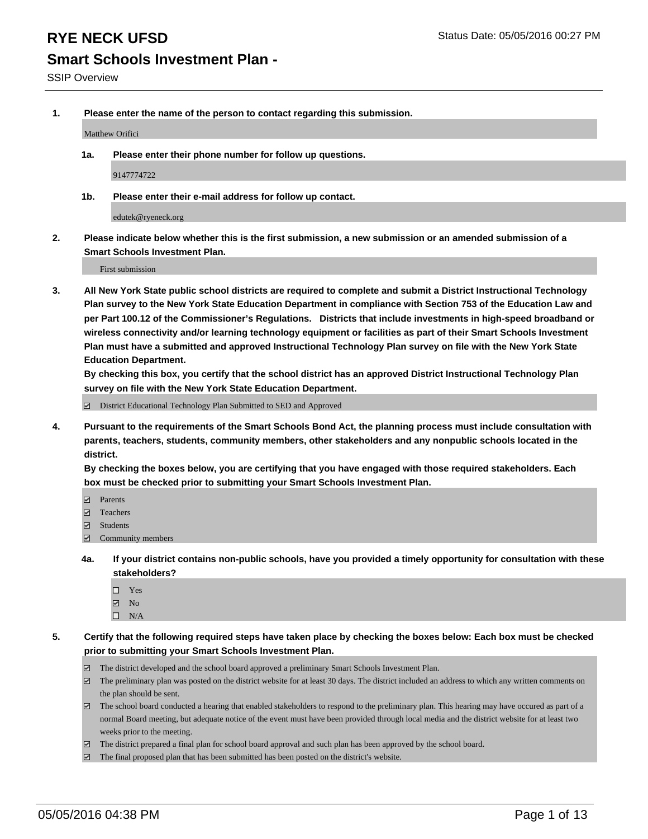**1. Please enter the name of the person to contact regarding this submission.**

Matthew Orifici

**1a. Please enter their phone number for follow up questions.**

9147774722

**1b. Please enter their e-mail address for follow up contact.**

edutek@ryeneck.org

**2. Please indicate below whether this is the first submission, a new submission or an amended submission of a Smart Schools Investment Plan.**

First submission

**3. All New York State public school districts are required to complete and submit a District Instructional Technology Plan survey to the New York State Education Department in compliance with Section 753 of the Education Law and per Part 100.12 of the Commissioner's Regulations. Districts that include investments in high-speed broadband or wireless connectivity and/or learning technology equipment or facilities as part of their Smart Schools Investment Plan must have a submitted and approved Instructional Technology Plan survey on file with the New York State Education Department.** 

**By checking this box, you certify that the school district has an approved District Instructional Technology Plan survey on file with the New York State Education Department.**

■ District Educational Technology Plan Submitted to SED and Approved

**4. Pursuant to the requirements of the Smart Schools Bond Act, the planning process must include consultation with parents, teachers, students, community members, other stakeholders and any nonpublic schools located in the district.** 

**By checking the boxes below, you are certifying that you have engaged with those required stakeholders. Each box must be checked prior to submitting your Smart Schools Investment Plan.**

- **Parents**
- □ Teachers
- Students
- $\boxdot$  Community members
- **4a. If your district contains non-public schools, have you provided a timely opportunity for consultation with these stakeholders?**
	- □ Yes
	- **☑** No
	- $\Box$  N/A
- **5. Certify that the following required steps have taken place by checking the boxes below: Each box must be checked prior to submitting your Smart Schools Investment Plan.**
	- The district developed and the school board approved a preliminary Smart Schools Investment Plan.
	- The preliminary plan was posted on the district website for at least 30 days. The district included an address to which any written comments on the plan should be sent.
	- $\Box$  The school board conducted a hearing that enabled stakeholders to respond to the preliminary plan. This hearing may have occured as part of a normal Board meeting, but adequate notice of the event must have been provided through local media and the district website for at least two weeks prior to the meeting.
	- The district prepared a final plan for school board approval and such plan has been approved by the school board.
	- The final proposed plan that has been submitted has been posted on the district's website.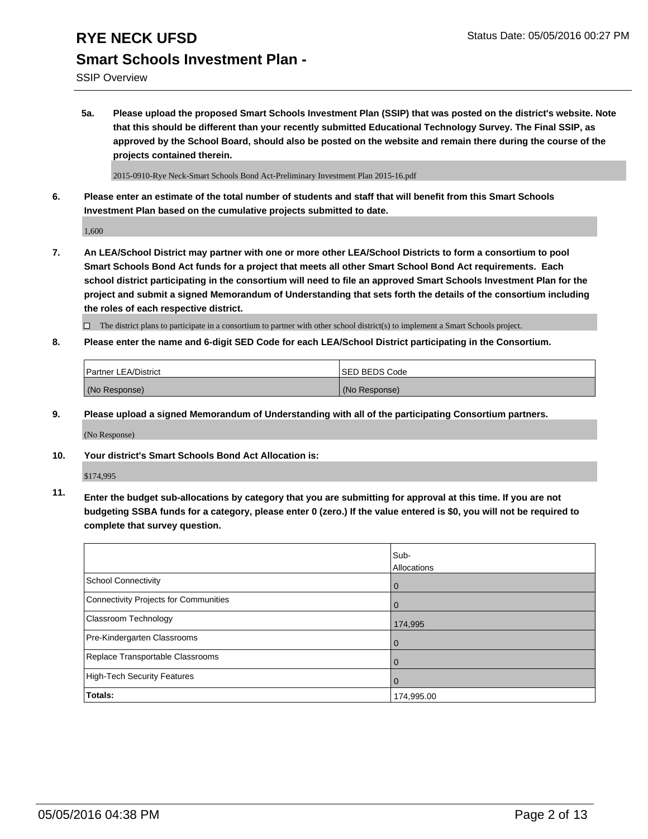SSIP Overview

**5a. Please upload the proposed Smart Schools Investment Plan (SSIP) that was posted on the district's website. Note that this should be different than your recently submitted Educational Technology Survey. The Final SSIP, as approved by the School Board, should also be posted on the website and remain there during the course of the projects contained therein.**

2015-0910-Rye Neck-Smart Schools Bond Act-Preliminary Investment Plan 2015-16.pdf

**6. Please enter an estimate of the total number of students and staff that will benefit from this Smart Schools Investment Plan based on the cumulative projects submitted to date.**

1,600

**7. An LEA/School District may partner with one or more other LEA/School Districts to form a consortium to pool Smart Schools Bond Act funds for a project that meets all other Smart School Bond Act requirements. Each school district participating in the consortium will need to file an approved Smart Schools Investment Plan for the project and submit a signed Memorandum of Understanding that sets forth the details of the consortium including the roles of each respective district.**

 $\Box$  The district plans to participate in a consortium to partner with other school district(s) to implement a Smart Schools project.

**8. Please enter the name and 6-digit SED Code for each LEA/School District participating in the Consortium.**

| <b>Partner LEA/District</b> | <b>ISED BEDS Code</b> |
|-----------------------------|-----------------------|
| (No Response)               | (No Response)         |

**9. Please upload a signed Memorandum of Understanding with all of the participating Consortium partners.**

(No Response)

**10. Your district's Smart Schools Bond Act Allocation is:**

\$174,995

**11. Enter the budget sub-allocations by category that you are submitting for approval at this time. If you are not budgeting SSBA funds for a category, please enter 0 (zero.) If the value entered is \$0, you will not be required to complete that survey question.**

|                                       | Sub-<br>Allocations |
|---------------------------------------|---------------------|
| <b>School Connectivity</b>            | 0                   |
| Connectivity Projects for Communities |                     |
| <b>Classroom Technology</b>           | 174,995             |
| Pre-Kindergarten Classrooms           | $\Omega$            |
| Replace Transportable Classrooms      | 0                   |
| High-Tech Security Features           | $\Omega$            |
| <b>Totals:</b>                        | 174,995.00          |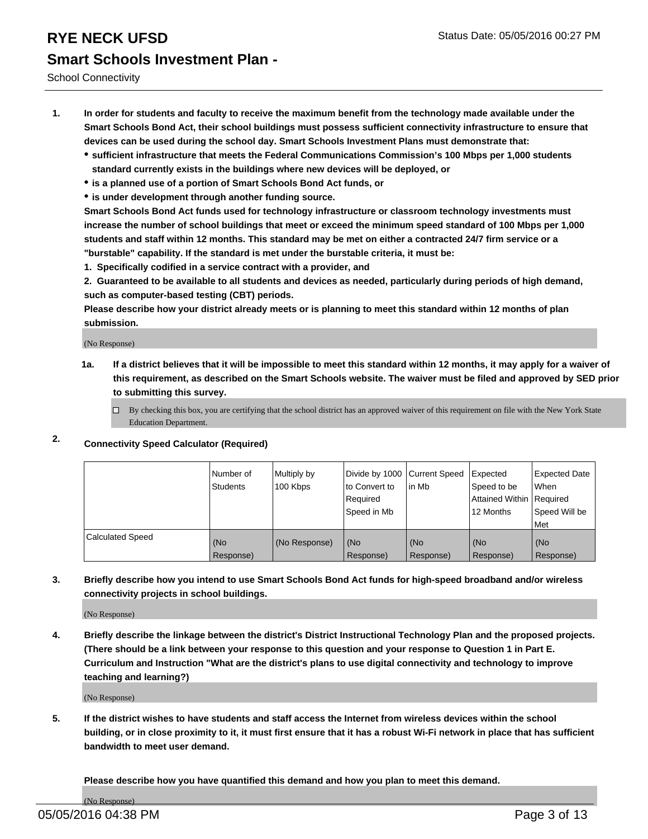School Connectivity

- **1. In order for students and faculty to receive the maximum benefit from the technology made available under the Smart Schools Bond Act, their school buildings must possess sufficient connectivity infrastructure to ensure that devices can be used during the school day. Smart Schools Investment Plans must demonstrate that:**
	- **sufficient infrastructure that meets the Federal Communications Commission's 100 Mbps per 1,000 students standard currently exists in the buildings where new devices will be deployed, or**
	- **is a planned use of a portion of Smart Schools Bond Act funds, or**
	- **is under development through another funding source.**

**Smart Schools Bond Act funds used for technology infrastructure or classroom technology investments must increase the number of school buildings that meet or exceed the minimum speed standard of 100 Mbps per 1,000 students and staff within 12 months. This standard may be met on either a contracted 24/7 firm service or a "burstable" capability. If the standard is met under the burstable criteria, it must be:**

**1. Specifically codified in a service contract with a provider, and**

**2. Guaranteed to be available to all students and devices as needed, particularly during periods of high demand, such as computer-based testing (CBT) periods.**

**Please describe how your district already meets or is planning to meet this standard within 12 months of plan submission.**

(No Response)

- **1a. If a district believes that it will be impossible to meet this standard within 12 months, it may apply for a waiver of this requirement, as described on the Smart Schools website. The waiver must be filed and approved by SED prior to submitting this survey.**
	- □ By checking this box, you are certifying that the school district has an approved waiver of this requirement on file with the New York State Education Department.
- **2. Connectivity Speed Calculator (Required)**

|                         | Number of<br>Students | Multiply by<br>100 Kbps | Divide by 1000 Current Speed<br>to Convert to<br>Reauired<br>Speed in Mb | lin Mb             | Expected<br>Speed to be<br>Attained Within   Required<br>12 Months | <b>Expected Date</b><br>l When<br>Speed Will be<br>l Met |
|-------------------------|-----------------------|-------------------------|--------------------------------------------------------------------------|--------------------|--------------------------------------------------------------------|----------------------------------------------------------|
| <b>Calculated Speed</b> | (No<br>Response)      | (No Response)           | (No<br>Response)                                                         | l (No<br>Response) | (No<br>Response)                                                   | l (No<br>Response)                                       |

#### **3. Briefly describe how you intend to use Smart Schools Bond Act funds for high-speed broadband and/or wireless connectivity projects in school buildings.**

(No Response)

**4. Briefly describe the linkage between the district's District Instructional Technology Plan and the proposed projects. (There should be a link between your response to this question and your response to Question 1 in Part E. Curriculum and Instruction "What are the district's plans to use digital connectivity and technology to improve teaching and learning?)**

(No Response)

**5. If the district wishes to have students and staff access the Internet from wireless devices within the school building, or in close proximity to it, it must first ensure that it has a robust Wi-Fi network in place that has sufficient bandwidth to meet user demand.**

**Please describe how you have quantified this demand and how you plan to meet this demand.**

(No Response)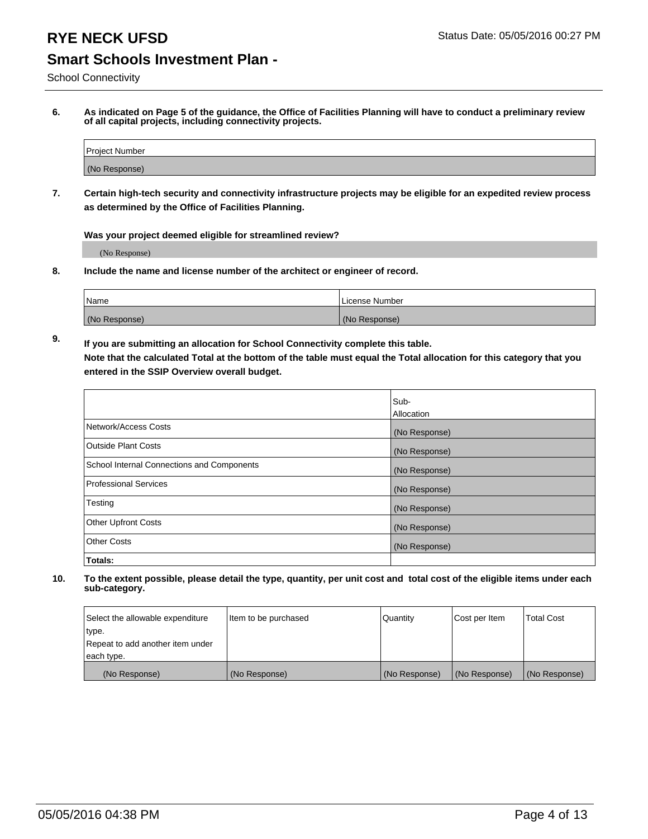School Connectivity

**6. As indicated on Page 5 of the guidance, the Office of Facilities Planning will have to conduct a preliminary review of all capital projects, including connectivity projects.**

| Project Number |  |
|----------------|--|
| (No Response)  |  |

**7. Certain high-tech security and connectivity infrastructure projects may be eligible for an expedited review process as determined by the Office of Facilities Planning.**

**Was your project deemed eligible for streamlined review?**

(No Response)

**8. Include the name and license number of the architect or engineer of record.**

| Name          | i License Number |
|---------------|------------------|
| (No Response) | (No Response)    |

**9. If you are submitting an allocation for School Connectivity complete this table. Note that the calculated Total at the bottom of the table must equal the Total allocation for this category that you entered in the SSIP Overview overall budget.** 

|                                            | Sub-          |
|--------------------------------------------|---------------|
|                                            | Allocation    |
| Network/Access Costs                       | (No Response) |
| <b>Outside Plant Costs</b>                 | (No Response) |
| School Internal Connections and Components | (No Response) |
| <b>Professional Services</b>               | (No Response) |
| Testing                                    | (No Response) |
| <b>Other Upfront Costs</b>                 | (No Response) |
| <b>Other Costs</b>                         | (No Response) |
| Totals:                                    |               |

| Select the allowable expenditure | Item to be purchased | Quantity      | Cost per Item | <b>Total Cost</b> |
|----------------------------------|----------------------|---------------|---------------|-------------------|
| type.                            |                      |               |               |                   |
| Repeat to add another item under |                      |               |               |                   |
| each type.                       |                      |               |               |                   |
| (No Response)                    | (No Response)        | (No Response) | (No Response) | (No Response)     |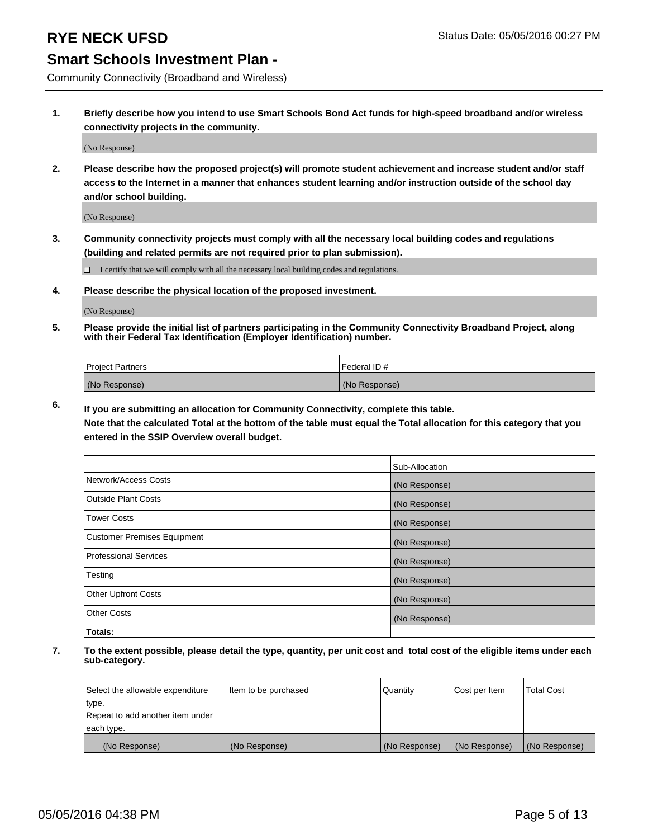Community Connectivity (Broadband and Wireless)

**1. Briefly describe how you intend to use Smart Schools Bond Act funds for high-speed broadband and/or wireless connectivity projects in the community.**

(No Response)

**2. Please describe how the proposed project(s) will promote student achievement and increase student and/or staff access to the Internet in a manner that enhances student learning and/or instruction outside of the school day and/or school building.**

(No Response)

**3. Community connectivity projects must comply with all the necessary local building codes and regulations (building and related permits are not required prior to plan submission).**

 $\Box$  I certify that we will comply with all the necessary local building codes and regulations.

**4. Please describe the physical location of the proposed investment.**

(No Response)

**5. Please provide the initial list of partners participating in the Community Connectivity Broadband Project, along with their Federal Tax Identification (Employer Identification) number.**

| <b>Project Partners</b> | <b>IFederal ID#</b> |
|-------------------------|---------------------|
| (No Response)           | (No Response)       |

**6. If you are submitting an allocation for Community Connectivity, complete this table.**

**Note that the calculated Total at the bottom of the table must equal the Total allocation for this category that you entered in the SSIP Overview overall budget.**

|                                    | Sub-Allocation |
|------------------------------------|----------------|
| Network/Access Costs               | (No Response)  |
| Outside Plant Costs                | (No Response)  |
| <b>Tower Costs</b>                 | (No Response)  |
| <b>Customer Premises Equipment</b> | (No Response)  |
| Professional Services              | (No Response)  |
| Testing                            | (No Response)  |
| <b>Other Upfront Costs</b>         | (No Response)  |
| <b>Other Costs</b>                 | (No Response)  |
| Totals:                            |                |

| Select the allowable expenditure | litem to be purchased | Quantity      | Cost per Item | <b>Total Cost</b> |
|----------------------------------|-----------------------|---------------|---------------|-------------------|
| type.                            |                       |               |               |                   |
| Repeat to add another item under |                       |               |               |                   |
| each type.                       |                       |               |               |                   |
| (No Response)                    | (No Response)         | (No Response) | (No Response) | (No Response)     |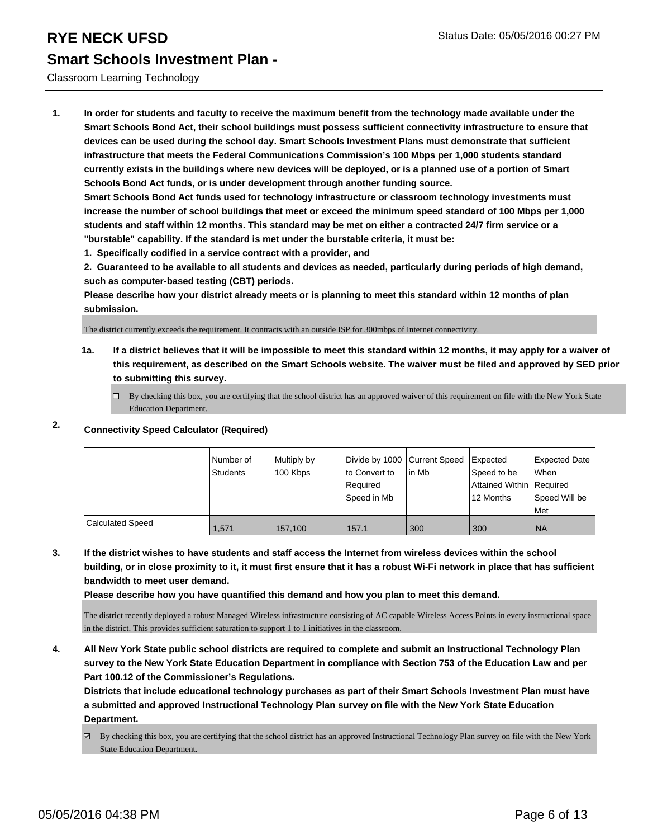#### Classroom Learning Technology

**1. In order for students and faculty to receive the maximum benefit from the technology made available under the Smart Schools Bond Act, their school buildings must possess sufficient connectivity infrastructure to ensure that devices can be used during the school day. Smart Schools Investment Plans must demonstrate that sufficient infrastructure that meets the Federal Communications Commission's 100 Mbps per 1,000 students standard currently exists in the buildings where new devices will be deployed, or is a planned use of a portion of Smart Schools Bond Act funds, or is under development through another funding source.**

**Smart Schools Bond Act funds used for technology infrastructure or classroom technology investments must increase the number of school buildings that meet or exceed the minimum speed standard of 100 Mbps per 1,000 students and staff within 12 months. This standard may be met on either a contracted 24/7 firm service or a "burstable" capability. If the standard is met under the burstable criteria, it must be:**

**1. Specifically codified in a service contract with a provider, and**

**2. Guaranteed to be available to all students and devices as needed, particularly during periods of high demand, such as computer-based testing (CBT) periods.**

**Please describe how your district already meets or is planning to meet this standard within 12 months of plan submission.**

The district currently exceeds the requirement. It contracts with an outside ISP for 300mbps of Internet connectivity.

**1a. If a district believes that it will be impossible to meet this standard within 12 months, it may apply for a waiver of this requirement, as described on the Smart Schools website. The waiver must be filed and approved by SED prior to submitting this survey.**

 $\Box$  By checking this box, you are certifying that the school district has an approved waiver of this requirement on file with the New York State Education Department.

### **2. Connectivity Speed Calculator (Required)**

|                         | Number of<br><b>Students</b> | Multiply by<br>100 Kbps | Divide by 1000 Current Speed<br>to Convert to<br>Required<br>Speed in Mb | lin Mb | Expected<br>Speed to be<br>Attained Within Required<br>12 Months | Expected Date<br>When<br>Speed Will be<br>Met |
|-------------------------|------------------------------|-------------------------|--------------------------------------------------------------------------|--------|------------------------------------------------------------------|-----------------------------------------------|
| <b>Calculated Speed</b> | 1.571                        | 157,100                 | 157.1                                                                    | 300    | 300                                                              | I NA                                          |

**3. If the district wishes to have students and staff access the Internet from wireless devices within the school building, or in close proximity to it, it must first ensure that it has a robust Wi-Fi network in place that has sufficient bandwidth to meet user demand.**

**Please describe how you have quantified this demand and how you plan to meet this demand.**

The district recently deployed a robust Managed Wireless infrastructure consisting of AC capable Wireless Access Points in every instructional space in the district. This provides sufficient saturation to support 1 to 1 initiatives in the classroom.

**4. All New York State public school districts are required to complete and submit an Instructional Technology Plan survey to the New York State Education Department in compliance with Section 753 of the Education Law and per Part 100.12 of the Commissioner's Regulations.**

**Districts that include educational technology purchases as part of their Smart Schools Investment Plan must have a submitted and approved Instructional Technology Plan survey on file with the New York State Education Department.**

 $\boxtimes$  By checking this box, you are certifying that the school district has an approved Instructional Technology Plan survey on file with the New York State Education Department.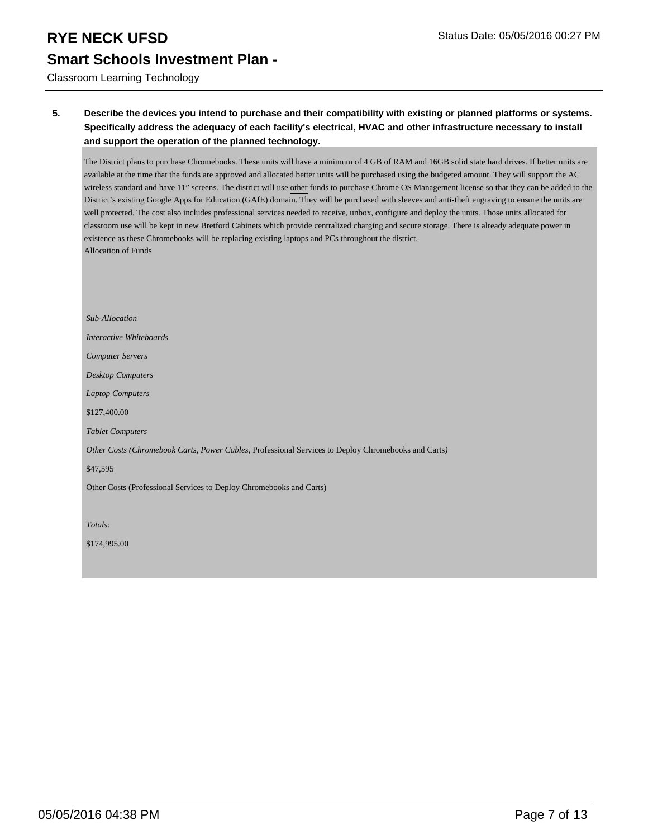Classroom Learning Technology

#### **5. Describe the devices you intend to purchase and their compatibility with existing or planned platforms or systems. Specifically address the adequacy of each facility's electrical, HVAC and other infrastructure necessary to install and support the operation of the planned technology.**

The District plans to purchase Chromebooks. These units will have a minimum of 4 GB of RAM and 16GB solid state hard drives. If better units are available at the time that the funds are approved and allocated better units will be purchased using the budgeted amount. They will support the AC wireless standard and have 11" screens. The district will use other funds to purchase Chrome OS Management license so that they can be added to the District's existing Google Apps for Education (GAfE) domain. They will be purchased with sleeves and anti-theft engraving to ensure the units are well protected. The cost also includes professional services needed to receive, unbox, configure and deploy the units. Those units allocated for classroom use will be kept in new Bretford Cabinets which provide centralized charging and secure storage. There is already adequate power in existence as these Chromebooks will be replacing existing laptops and PCs throughout the district. Allocation of Funds

*Sub-Allocation Interactive Whiteboards Computer Servers Desktop Computers Laptop Computers* \$127,400.00 *Tablet Computers Other Costs (Chromebook Carts, Power Cables,* Professional Services to Deploy Chromebooks and Carts*)* \$47,595 Other Costs (Professional Services to Deploy Chromebooks and Carts) *Totals:*

\$174,995.00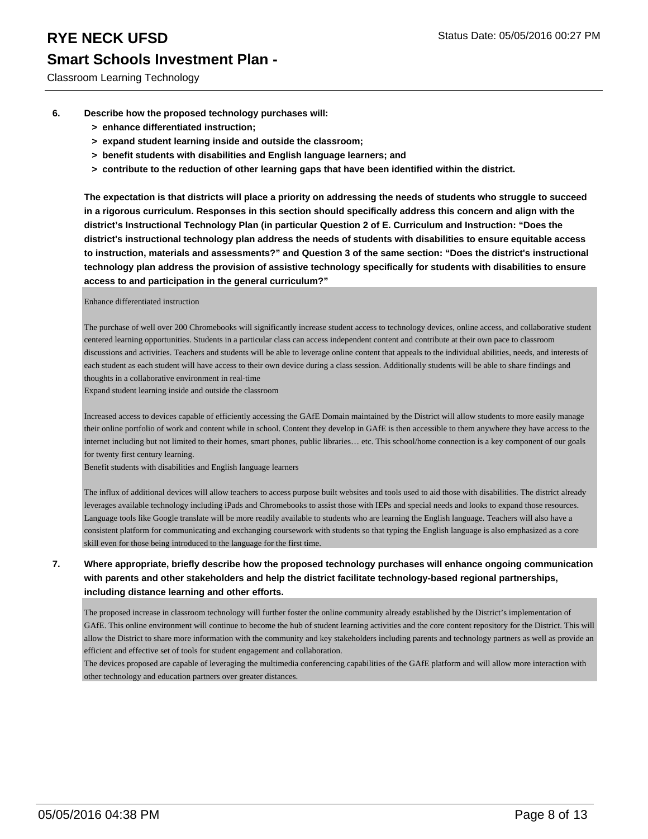Classroom Learning Technology

- **6. Describe how the proposed technology purchases will:**
	- **> enhance differentiated instruction;**
	- **> expand student learning inside and outside the classroom;**
	- **> benefit students with disabilities and English language learners; and**
	- **> contribute to the reduction of other learning gaps that have been identified within the district.**

**The expectation is that districts will place a priority on addressing the needs of students who struggle to succeed in a rigorous curriculum. Responses in this section should specifically address this concern and align with the district's Instructional Technology Plan (in particular Question 2 of E. Curriculum and Instruction: "Does the district's instructional technology plan address the needs of students with disabilities to ensure equitable access to instruction, materials and assessments?" and Question 3 of the same section: "Does the district's instructional technology plan address the provision of assistive technology specifically for students with disabilities to ensure access to and participation in the general curriculum?"**

Enhance differentiated instruction

The purchase of well over 200 Chromebooks will significantly increase student access to technology devices, online access, and collaborative student centered learning opportunities. Students in a particular class can access independent content and contribute at their own pace to classroom discussions and activities. Teachers and students will be able to leverage online content that appeals to the individual abilities, needs, and interests of each student as each student will have access to their own device during a class session. Additionally students will be able to share findings and thoughts in a collaborative environment in real-time

Expand student learning inside and outside the classroom

Increased access to devices capable of efficiently accessing the GAfE Domain maintained by the District will allow students to more easily manage their online portfolio of work and content while in school. Content they develop in GAfE is then accessible to them anywhere they have access to the internet including but not limited to their homes, smart phones, public libraries… etc. This school/home connection is a key component of our goals for twenty first century learning.

Benefit students with disabilities and English language learners

The influx of additional devices will allow teachers to access purpose built websites and tools used to aid those with disabilities. The district already leverages available technology including iPads and Chromebooks to assist those with IEPs and special needs and looks to expand those resources. Language tools like Google translate will be more readily available to students who are learning the English language. Teachers will also have a consistent platform for communicating and exchanging coursework with students so that typing the English language is also emphasized as a core skill even for those being introduced to the language for the first time.

#### **7. Where appropriate, briefly describe how the proposed technology purchases will enhance ongoing communication with parents and other stakeholders and help the district facilitate technology-based regional partnerships, including distance learning and other efforts.**

The proposed increase in classroom technology will further foster the online community already established by the District's implementation of GAfE. This online environment will continue to become the hub of student learning activities and the core content repository for the District. This will allow the District to share more information with the community and key stakeholders including parents and technology partners as well as provide an efficient and effective set of tools for student engagement and collaboration.

The devices proposed are capable of leveraging the multimedia conferencing capabilities of the GAfE platform and will allow more interaction with other technology and education partners over greater distances.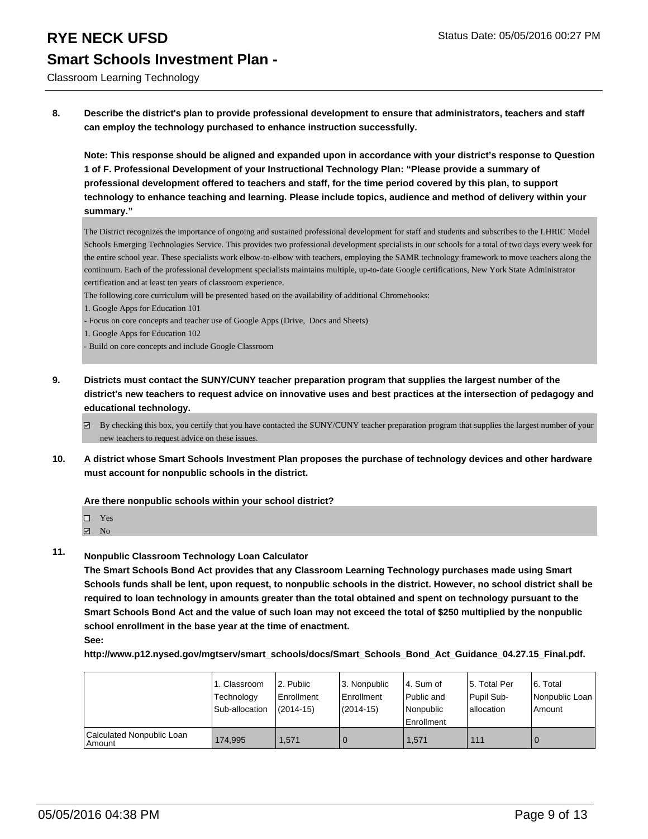Classroom Learning Technology

**8. Describe the district's plan to provide professional development to ensure that administrators, teachers and staff can employ the technology purchased to enhance instruction successfully.**

**Note: This response should be aligned and expanded upon in accordance with your district's response to Question 1 of F. Professional Development of your Instructional Technology Plan: "Please provide a summary of professional development offered to teachers and staff, for the time period covered by this plan, to support technology to enhance teaching and learning. Please include topics, audience and method of delivery within your summary."**

The District recognizes the importance of ongoing and sustained professional development for staff and students and subscribes to the LHRIC Model Schools Emerging Technologies Service. This provides two professional development specialists in our schools for a total of two days every week for the entire school year. These specialists work elbow-to-elbow with teachers, employing the SAMR technology framework to move teachers along the continuum. Each of the professional development specialists maintains multiple, up-to-date Google certifications, New York State Administrator certification and at least ten years of classroom experience.

The following core curriculum will be presented based on the availability of additional Chromebooks:

- 1. Google Apps for Education 101
- Focus on core concepts and teacher use of Google Apps (Drive, Docs and Sheets)
- 1. Google Apps for Education 102
- Build on core concepts and include Google Classroom
- **9. Districts must contact the SUNY/CUNY teacher preparation program that supplies the largest number of the district's new teachers to request advice on innovative uses and best practices at the intersection of pedagogy and educational technology.**
	- $\boxtimes$  By checking this box, you certify that you have contacted the SUNY/CUNY teacher preparation program that supplies the largest number of your new teachers to request advice on these issues.
- **10. A district whose Smart Schools Investment Plan proposes the purchase of technology devices and other hardware must account for nonpublic schools in the district.**

**Are there nonpublic schools within your school district?**

| П | Yes |  |
|---|-----|--|
|   | -   |  |

- M<sub>N</sub>
- **11. Nonpublic Classroom Technology Loan Calculator**

**The Smart Schools Bond Act provides that any Classroom Learning Technology purchases made using Smart Schools funds shall be lent, upon request, to nonpublic schools in the district. However, no school district shall be required to loan technology in amounts greater than the total obtained and spent on technology pursuant to the Smart Schools Bond Act and the value of such loan may not exceed the total of \$250 multiplied by the nonpublic school enrollment in the base year at the time of enactment.**

**See:**

**http://www.p12.nysed.gov/mgtserv/smart\_schools/docs/Smart\_Schools\_Bond\_Act\_Guidance\_04.27.15\_Final.pdf.**

|                                       | 1. Classroom<br>Technology<br>Sub-allocation | 2. Public<br>Enrollment<br>$(2014 - 15)$ | l 3. Nonpublic<br>Enrollment<br>$(2014-15)$ | l 4. Sum of<br>Public and<br>Nonpublic | 15. Total Per<br>Pupil Sub-<br>lallocation | 6. Total<br>Nonpublic Loan<br>l Amount |
|---------------------------------------|----------------------------------------------|------------------------------------------|---------------------------------------------|----------------------------------------|--------------------------------------------|----------------------------------------|
|                                       |                                              |                                          |                                             | <b>Enrollment</b>                      |                                            |                                        |
| Calculated Nonpublic Loan<br>l Amount | 174.995                                      | 1.571                                    |                                             | 1,571                                  | 111                                        | $\mathbf 0$                            |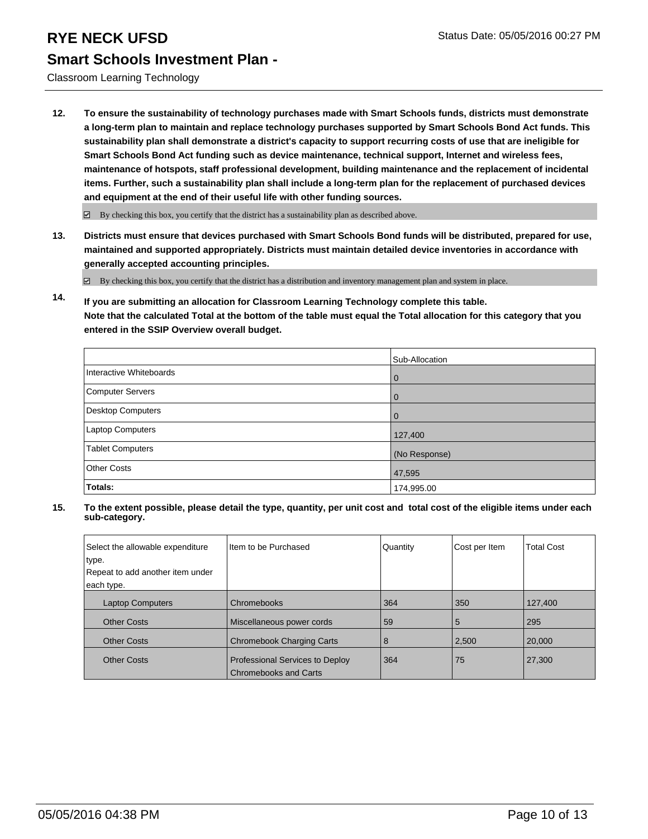Classroom Learning Technology

**12. To ensure the sustainability of technology purchases made with Smart Schools funds, districts must demonstrate a long-term plan to maintain and replace technology purchases supported by Smart Schools Bond Act funds. This sustainability plan shall demonstrate a district's capacity to support recurring costs of use that are ineligible for Smart Schools Bond Act funding such as device maintenance, technical support, Internet and wireless fees, maintenance of hotspots, staff professional development, building maintenance and the replacement of incidental items. Further, such a sustainability plan shall include a long-term plan for the replacement of purchased devices and equipment at the end of their useful life with other funding sources.**

 $\boxdot$  By checking this box, you certify that the district has a sustainability plan as described above.

**13. Districts must ensure that devices purchased with Smart Schools Bond funds will be distributed, prepared for use, maintained and supported appropriately. Districts must maintain detailed device inventories in accordance with generally accepted accounting principles.**

By checking this box, you certify that the district has a distribution and inventory management plan and system in place.

**14. If you are submitting an allocation for Classroom Learning Technology complete this table. Note that the calculated Total at the bottom of the table must equal the Total allocation for this category that you entered in the SSIP Overview overall budget.**

|                          | Sub-Allocation |
|--------------------------|----------------|
| Interactive Whiteboards  | $\mathbf 0$    |
| Computer Servers         | 0              |
| <b>Desktop Computers</b> | $\Omega$       |
| Laptop Computers         | 127,400        |
| <b>Tablet Computers</b>  | (No Response)  |
| <b>Other Costs</b>       | 47,595         |
| Totals:                  | 174,995.00     |

| Select the allowable expenditure<br>type.<br>Repeat to add another item under<br>each type. | Iltem to be Purchased                                           | Quantity | Cost per Item | <b>Total Cost</b> |
|---------------------------------------------------------------------------------------------|-----------------------------------------------------------------|----------|---------------|-------------------|
| <b>Laptop Computers</b>                                                                     | Chromebooks                                                     | 364      | 350           | 127,400           |
| <b>Other Costs</b>                                                                          | Miscellaneous power cords                                       | 59       | 5             | 295               |
| <b>Other Costs</b>                                                                          | <b>Chromebook Charging Carts</b>                                | 8        | 2,500         | 20,000            |
| <b>Other Costs</b>                                                                          | Professional Services to Deploy<br><b>Chromebooks and Carts</b> | 364      | 75            | 27,300            |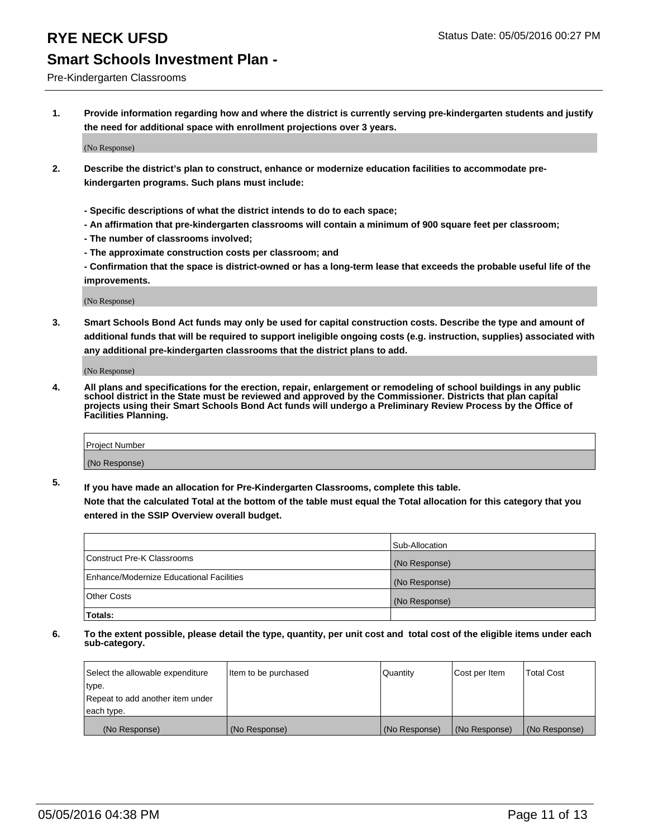#### Pre-Kindergarten Classrooms

**1. Provide information regarding how and where the district is currently serving pre-kindergarten students and justify the need for additional space with enrollment projections over 3 years.**

(No Response)

- **2. Describe the district's plan to construct, enhance or modernize education facilities to accommodate prekindergarten programs. Such plans must include:**
	- **Specific descriptions of what the district intends to do to each space;**
	- **An affirmation that pre-kindergarten classrooms will contain a minimum of 900 square feet per classroom;**
	- **The number of classrooms involved;**
	- **The approximate construction costs per classroom; and**
	- **Confirmation that the space is district-owned or has a long-term lease that exceeds the probable useful life of the improvements.**

(No Response)

**3. Smart Schools Bond Act funds may only be used for capital construction costs. Describe the type and amount of additional funds that will be required to support ineligible ongoing costs (e.g. instruction, supplies) associated with any additional pre-kindergarten classrooms that the district plans to add.**

(No Response)

**4. All plans and specifications for the erection, repair, enlargement or remodeling of school buildings in any public school district in the State must be reviewed and approved by the Commissioner. Districts that plan capital projects using their Smart Schools Bond Act funds will undergo a Preliminary Review Process by the Office of Facilities Planning.**

| Project Number |  |
|----------------|--|
| (No Response)  |  |

**5. If you have made an allocation for Pre-Kindergarten Classrooms, complete this table. Note that the calculated Total at the bottom of the table must equal the Total allocation for this category that you**

**entered in the SSIP Overview overall budget.**

|                                          | Sub-Allocation |
|------------------------------------------|----------------|
| Construct Pre-K Classrooms               | (No Response)  |
| Enhance/Modernize Educational Facilities | (No Response)  |
| Other Costs                              | (No Response)  |
| Totals:                                  |                |

| Select the allowable expenditure | Item to be purchased | Quantity      | Cost per Item | <b>Total Cost</b> |
|----------------------------------|----------------------|---------------|---------------|-------------------|
| type.                            |                      |               |               |                   |
| Repeat to add another item under |                      |               |               |                   |
| each type.                       |                      |               |               |                   |
| (No Response)                    | (No Response)        | (No Response) | (No Response) | (No Response)     |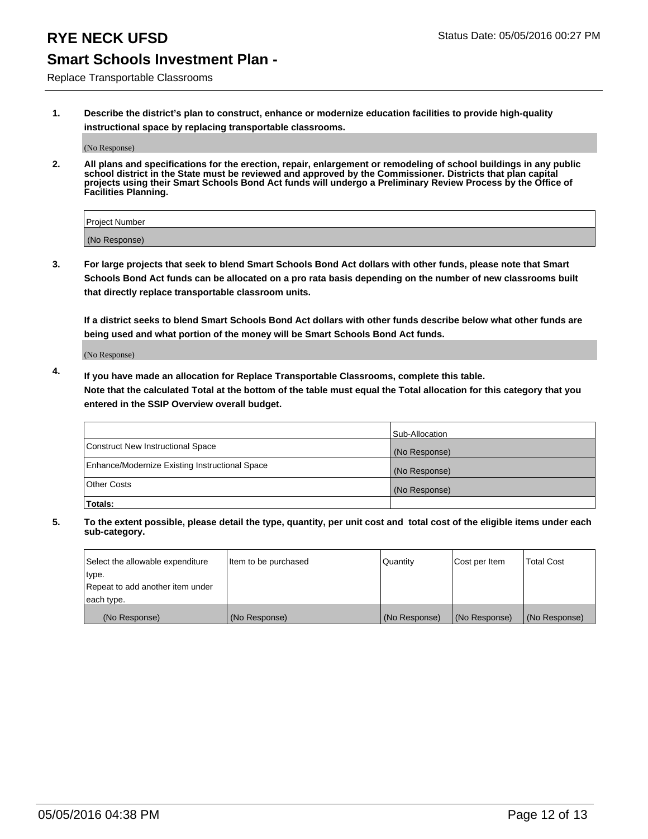Replace Transportable Classrooms

**1. Describe the district's plan to construct, enhance or modernize education facilities to provide high-quality instructional space by replacing transportable classrooms.**

(No Response)

**2. All plans and specifications for the erection, repair, enlargement or remodeling of school buildings in any public school district in the State must be reviewed and approved by the Commissioner. Districts that plan capital projects using their Smart Schools Bond Act funds will undergo a Preliminary Review Process by the Office of Facilities Planning.**

| Project Number |  |
|----------------|--|
| (No Response)  |  |

**3. For large projects that seek to blend Smart Schools Bond Act dollars with other funds, please note that Smart Schools Bond Act funds can be allocated on a pro rata basis depending on the number of new classrooms built that directly replace transportable classroom units.**

**If a district seeks to blend Smart Schools Bond Act dollars with other funds describe below what other funds are being used and what portion of the money will be Smart Schools Bond Act funds.**

(No Response)

**4. If you have made an allocation for Replace Transportable Classrooms, complete this table. Note that the calculated Total at the bottom of the table must equal the Total allocation for this category that you entered in the SSIP Overview overall budget.**

|                                                | Sub-Allocation |
|------------------------------------------------|----------------|
| Construct New Instructional Space              | (No Response)  |
| Enhance/Modernize Existing Instructional Space | (No Response)  |
| <b>Other Costs</b>                             | (No Response)  |
| Totals:                                        |                |

| Select the allowable expenditure | Item to be purchased | <b>Quantity</b> | Cost per Item | <b>Total Cost</b> |
|----------------------------------|----------------------|-----------------|---------------|-------------------|
| type.                            |                      |                 |               |                   |
| Repeat to add another item under |                      |                 |               |                   |
| each type.                       |                      |                 |               |                   |
| (No Response)                    | (No Response)        | (No Response)   | (No Response) | (No Response)     |